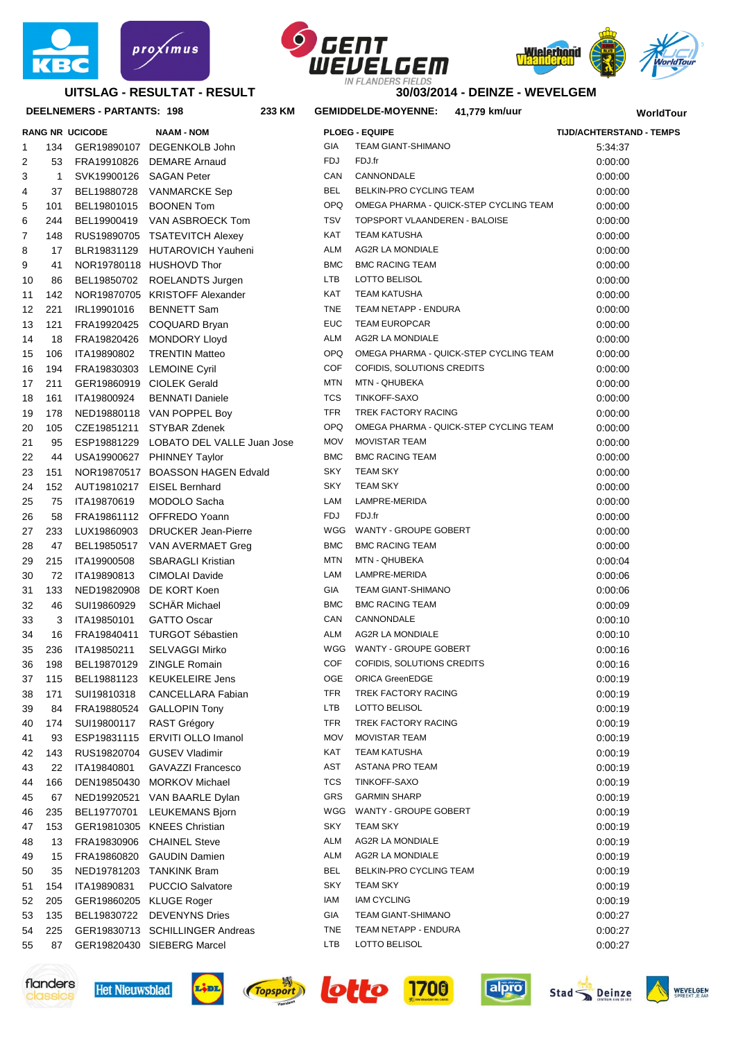



#### **DEELNEMERS - PARTANTS: 198 233**







#### **30/03/2014 - DEINZE - WEVELGEM**

# **KM GEMIDDELDE-MOYENNE: 41,779 km/uur WorldTour**

| 2  | 53           | FRA19910826             | <b>DEMARE Arnaud</b>             | <b>FDJ</b> | FDJ.fr                                 | 0.00.00 |
|----|--------------|-------------------------|----------------------------------|------------|----------------------------------------|---------|
| 3  | $\mathbf{1}$ | SVK19900126             | SAGAN Peter                      | CAN        | CANNONDALE                             | 0.00.00 |
| 4  | 37           | BEL19880728             | <b>VANMARCKE Sep</b>             | <b>BEL</b> | BELKIN-PRO CYCLING TEAM                | 0.00:00 |
| 5  | 101          | BEL19801015             | <b>BOONEN Tom</b>                | <b>OPQ</b> | OMEGA PHARMA - QUICK-STEP CYCLING TEAM | 0.00.00 |
| 6  | 244          | BEL19900419             | VAN ASBROECK Tom                 | <b>TSV</b> | TOPSPORT VLAANDEREN - BALOISE          | 0.00.00 |
| 7  | 148          | RUS19890705             | <b>TSATEVITCH Alexey</b>         | <b>KAT</b> | <b>TEAM KATUSHA</b>                    | 0.00.00 |
| 8  | 17           | BLR19831129             | <b>HUTAROVICH Yauheni</b>        | <b>ALM</b> | <b>AG2R LA MONDIALE</b>                | 0.00:00 |
| 9  | 41           |                         | NOR19780118 HUSHOVD Thor         | <b>BMC</b> | <b>BMC RACING TEAM</b>                 | 0.00:00 |
| 10 | 86           | BEL19850702             | ROELANDTS Jurgen                 | LTB        | LOTTO BELISOL                          | 0.00.00 |
| 11 | 142          |                         | NOR19870705 KRISTOFF Alexander   | <b>KAT</b> | <b>TEAM KATUSHA</b>                    | 0.00.00 |
| 12 | 221          | IRL19901016             | <b>BENNETT Sam</b>               | <b>TNE</b> | TEAM NETAPP - ENDURA                   | 0.00:00 |
| 13 | 121          | FRA19920425             | COQUARD Bryan                    | <b>EUC</b> | <b>TEAM EUROPCAR</b>                   | 0.00:00 |
| 14 | 18           | FRA19820426             | <b>MONDORY Lloyd</b>             | <b>ALM</b> | <b>AG2R LA MONDIALE</b>                | 0.00:00 |
| 15 | 106          | ITA19890802             | <b>TRENTIN Matteo</b>            | <b>OPQ</b> | OMEGA PHARMA - QUICK-STEP CYCLING TEAM | 0.00:00 |
| 16 | 194          | FRA19830303             | <b>LEMOINE Cyril</b>             | <b>COF</b> | COFIDIS, SOLUTIONS CREDITS             | 0.00:00 |
| 17 | 211          |                         | GER19860919 CIOLEK Gerald        | <b>MTN</b> | MTN - QHUBEKA                          | 0.00.00 |
| 18 | 161          | ITA19800924             | <b>BENNATI Daniele</b>           | <b>TCS</b> | TINKOFF-SAXO                           | 0:00:00 |
| 19 | 178          |                         | NED19880118 VAN POPPEL Boy       | <b>TFR</b> | TREK FACTORY RACING                    | 0:00:00 |
| 20 | 105          | CZE19851211             | <b>STYBAR Zdenek</b>             | <b>OPQ</b> | OMEGA PHARMA - QUICK-STEP CYCLING TEAM | 0.00:00 |
| 21 | 95           | ESP19881229             | LOBATO DEL VALLE Juan Jose       | <b>MOV</b> | <b>MOVISTAR TEAM</b>                   | 0.00:00 |
| 22 | 44           |                         | USA19900627 PHINNEY Taylor       | <b>BMC</b> | <b>BMC RACING TEAM</b>                 | 0.00:00 |
| 23 | 151          |                         | NOR19870517 BOASSON HAGEN Edvald | <b>SKY</b> | <b>TEAM SKY</b>                        | 0.00:00 |
| 24 | 152          | AUT19810217             | <b>EISEL Bernhard</b>            | <b>SKY</b> | <b>TEAM SKY</b>                        | 0.00:00 |
| 25 | 75           | ITA19870619             | MODOLO Sacha                     | LAM        | LAMPRE-MERIDA                          | 0.00:00 |
| 26 | 58           | FRA19861112             | OFFREDO Yoann                    | <b>FDJ</b> | FDJ.fr                                 | 0.00:00 |
| 27 | 233          | LUX19860903             | <b>DRUCKER Jean-Pierre</b>       | WGG        | WANTY - GROUPE GOBERT                  | 0.00.00 |
| 28 | 47           | BEL19850517             | VAN AVERMAET Greg                | <b>BMC</b> | <b>BMC RACING TEAM</b>                 | 0.00:00 |
| 29 | 215          | ITA19900508             | <b>SBARAGLI Kristian</b>         | <b>MTN</b> | MTN - QHUBEKA                          | 0.00.04 |
| 30 | 72           | ITA19890813             | CIMOLAI Davide                   | LAM        | LAMPRE-MERIDA                          | 0.00.06 |
| 31 | 133          | NED19820908             | DE KORT Koen                     | GIA        | TEAM GIANT-SHIMANO                     | 0.00.06 |
| 32 | 46           | SUI19860929             | <b>SCHÄR Michael</b>             | <b>BMC</b> | <b>BMC RACING TEAM</b>                 | 0:00:09 |
| 33 | 3            | ITA19850101             | <b>GATTO Oscar</b>               | CAN        | CANNONDALE                             | 0:00:10 |
| 34 | 16           | FRA19840411             | <b>TURGOT Sébastien</b>          | <b>ALM</b> | <b>AG2R LA MONDIALE</b>                | 0:00:10 |
| 35 | 236          | ITA19850211             | <b>SELVAGGI Mirko</b>            | WGG        | WANTY - GROUPE GOBERT                  | 0:00:16 |
| 36 | 198          | BEL19870129             | ZINGLE Romain                    | COF        | COFIDIS, SOLUTIONS CREDITS             | 0:00:16 |
| 37 | 115          | BEL19881123             | <b>KEUKELEIRE Jens</b>           | OGE        | <b>ORICA GreenEDGE</b>                 | 0:00:19 |
| 38 | 171          | SUI19810318             | CANCELLARA Fabian                | <b>TFR</b> | TREK FACTORY RACING                    | 0:00:19 |
| 39 |              |                         | 84 FRA19880524 GALLOPIN Tony     | <b>LTB</b> | <b>LOTTO BELISOL</b>                   | 0:00:19 |
| 40 | 174          | SUI19800117             | <b>RAST Grégory</b>              | TFR        | TREK FACTORY RACING                    | 0:00:19 |
| 41 | 93           | ESP19831115             | ERVITI OLLO Imanol               | <b>MOV</b> | <b>MOVISTAR TEAM</b>                   | 0:00:19 |
| 42 | 143          |                         | RUS19820704 GUSEV Vladimir       | KAT        | <b>TEAM KATUSHA</b>                    | 0:00:19 |
| 43 | 22           | ITA19840801             | <b>GAVAZZI Francesco</b>         | AST        | ASTANA PRO TEAM                        | 0:00:19 |
| 44 | 166          | DEN19850430             | <b>MORKOV Michael</b>            | TCS        | TINKOFF-SAXO                           | 0:00:19 |
| 45 | 67           | NED19920521             | VAN BAARLE Dylan                 | GRS        | <b>GARMIN SHARP</b>                    | 0:00:19 |
| 46 | 235          | BEL19770701             | LEUKEMANS Bjorn                  | WGG        | WANTY - GROUPE GOBERT                  | 0:00:19 |
| 47 | 153          |                         | GER19810305 KNEES Christian      | SKY        | <b>TEAM SKY</b>                        | 0:00:19 |
| 48 | 13           | FRA19830906             | <b>CHAINEL Steve</b>             | ALM        | AG2R LA MONDIALE                       | 0:00:19 |
| 49 | 15           | FRA19860820             | <b>GAUDIN Damien</b>             | ALM        | <b>AG2R LA MONDIALE</b>                | 0:00:19 |
| 50 | 35           | NED19781203             | <b>TANKINK Bram</b>              | BEL        | BELKIN-PRO CYCLING TEAM                | 0.00:19 |
| 51 | 154          | ITA19890831             | <b>PUCCIO Salvatore</b>          | <b>SKY</b> | <b>TEAM SKY</b>                        | 0:00:19 |
| 52 | 205          | GER19860205 KLUGE Roger |                                  | IAM        | <b>IAM CYCLING</b>                     | 0:00:19 |
| 53 | 135          | BEL19830722             | DEVENYNS Dries                   | GIA        | TEAM GIANT-SHIMANO                     | 0:00:27 |
| 54 | 225          |                         | GER19830713 SCHILLINGER Andreas  | <b>TNE</b> | TEAM NETAPP - ENDURA                   | 0:00:27 |
| 55 | 87           |                         | GER19820430 SIEBERG Marcel       | LTB        | LOTTO BELISOL                          | 0:00:27 |
|    |              |                         |                                  |            |                                        |         |















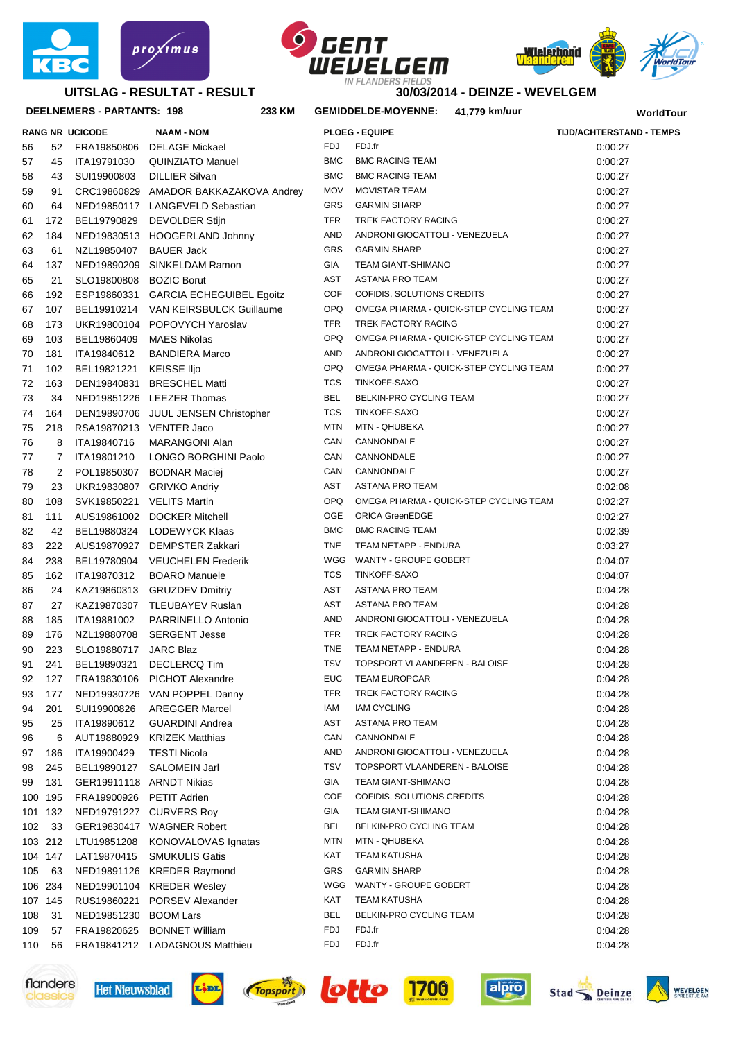





**30/03/2014 - DEINZE - WEVELGEM**

#### **DEELNEMERS - PARTANTS: 198 233**

|          |                     | <b>RANG NR UCICODE</b>     | <b>NAAM - NOM</b>                           |  |  |
|----------|---------------------|----------------------------|---------------------------------------------|--|--|
| 56       | 52                  | FRA19850806                | <b>DELAGE Mickael</b>                       |  |  |
| 57       | 45                  | ITA19791030                | <b>QUINZIATO Manuel</b>                     |  |  |
| 58       | 43                  | SUI19900803                | <b>DILLIER Silvan</b>                       |  |  |
| 59       | 91                  | CRC19860829                | AMADOR BAKKAZAKOVA Andre                    |  |  |
| 60       | 64                  | NED19850117                | LANGEVELD Sebastian                         |  |  |
| 61       | 172                 | BEL19790829                | <b>DEVOLDER Stijn</b>                       |  |  |
| 62       | 184                 | NED19830513                | <b>HOOGERLAND Johnny</b>                    |  |  |
| 63       | 61                  | NZL19850407                | <b>BAUER Jack</b>                           |  |  |
| 64       | 137                 | NED19890209                | SINKELDAM Ramon                             |  |  |
| 65       | 21                  | SLO19800808                | <b>BOZIC Borut</b>                          |  |  |
| 66       | 192                 | ESP19860331                | <b>GARCIA ECHEGUIBEL Egoitz</b>             |  |  |
| 67       | 107                 | BEL19910214                | VAN KEIRSBULCK Guillaume                    |  |  |
| 68       | 173                 | UKR19800104                | POPOVYCH Yaroslav                           |  |  |
| 69       | 103                 | BEL19860409                | <b>MAES Nikolas</b>                         |  |  |
| 70       | 181                 | ITA19840612                | <b>BANDIERA Marco</b>                       |  |  |
| 71       | 102                 | BEL19821221<br>DEN19840831 | KEISSE IIjo<br><b>BRESCHEL Matti</b>        |  |  |
| 72       | 163                 | NED19851226                | <b>LEEZER Thomas</b>                        |  |  |
| 73       | 34                  |                            |                                             |  |  |
| 74       | 164                 | DEN19890706                | <b>JUUL JENSEN Christopher</b>              |  |  |
| 75<br>76 | 218                 | RSA19870213<br>ITA19840716 | <b>VENTER Jaco</b><br><b>MARANGONI Alan</b> |  |  |
| 77       | 8<br>$\overline{7}$ | ITA19801210                | LONGO BORGHINI Paolo                        |  |  |
| 78       | 2                   | POL19850307                | <b>BODNAR Maciej</b>                        |  |  |
| 79       | 23                  | UKR19830807                | <b>GRIVKO Andriy</b>                        |  |  |
| 80       | 108                 | SVK19850221                | <b>VELITS Martin</b>                        |  |  |
| 81       | 111                 | AUS19861002                | <b>DOCKER Mitchell</b>                      |  |  |
| 82       | 42                  | BEL19880324                | <b>LODEWYCK Klaas</b>                       |  |  |
| 83       | 222                 | AUS19870927                | <b>DEMPSTER Zakkari</b>                     |  |  |
| 84       | 238                 | BEL19780904                | <b>VEUCHELEN Frederik</b>                   |  |  |
| 85       | 162                 | ITA19870312                | <b>BOARO</b> Manuele                        |  |  |
| 86       | 24                  | KAZ19860313                | <b>GRUZDEV Dmitriy</b>                      |  |  |
| 87       | 27                  | KAZ19870307                | <b>TLEUBAYEV Ruslan</b>                     |  |  |
| 88       | 185                 | ITA19881002                | <b>PARRINELLO Antonio</b>                   |  |  |
| 89       | 176                 | NZL19880708                | <b>SERGENT Jesse</b>                        |  |  |
| 90       | 223                 | SLO19880717                | <b>JARC Blaz</b>                            |  |  |
| 91       | 241                 | BEL19890321                | <b>DECLERCQ Tim</b>                         |  |  |
| 92       | 127                 | FRA19830106                | <b>PICHOT Alexandre</b>                     |  |  |
| 93       | 177                 | NED19930726                | VAN POPPEL Danny                            |  |  |
| 94       | 201                 | SUI19900826                | <b>AREGGER Marcel</b>                       |  |  |
| 95       | 25                  | ITA19890612                | <b>GUARDINI Andrea</b>                      |  |  |
| 96       | 6                   | AUT19880929                | <b>KRIZEK Matthias</b>                      |  |  |
| 97       | 186                 | ITA19900429                | <b>TESTI Nicola</b>                         |  |  |
| 98       | 245                 | BEL19890127                | <b>SALOMEIN Jarl</b>                        |  |  |
| 99       | 131                 | GER19911118                | <b>ARNDT Nikias</b>                         |  |  |
| 100      | 195                 | FRA19900926                | <b>PETIT Adrien</b>                         |  |  |
| 101      | 132                 | NED19791227                | <b>CURVERS Roy</b>                          |  |  |
| 102      | 33                  | GER19830417                | <b>WAGNER Robert</b>                        |  |  |
| 103      | 212                 | LTU19851208                | KONOVALOVAS Ignatas                         |  |  |
| 104      | 147                 | LAT19870415                | <b>SMUKULIS Gatis</b>                       |  |  |
| 105      | 63                  | NED19891126                | <b>KREDER Raymond</b>                       |  |  |
| 106      | 234                 | NED19901104                | <b>KREDER Wesley</b>                        |  |  |
| 107      | 145                 | RUS19860221                | <b>PORSEV Alexander</b>                     |  |  |
| 108      | 31                  | NED19851230                | <b>BOOM Lars</b>                            |  |  |
| 109      | 57                  | FRA19820625                | <b>BONNET William</b>                       |  |  |
|          | 110 56              | FRA19841212                | <b>LADAGNOUS Matthieu</b>                   |  |  |

|     |         | DEELNEMERS - PARTANTS: 198 | 233 KM                                |            | 41,779 km/uur<br><b>GEMIDDELDE-MOYENNE:</b> | WorldTour                       |
|-----|---------|----------------------------|---------------------------------------|------------|---------------------------------------------|---------------------------------|
|     |         | <b>RANG NR UCICODE</b>     | <b>NAAM - NOM</b>                     |            | <b>PLOEG - EQUIPE</b>                       | <b>TIJD/ACHTERSTAND - TEMPS</b> |
| 56  | 52      | FRA19850806                | <b>DELAGE Mickael</b>                 | FDJ        | FDJ.fr                                      | 0:00:27                         |
| 57  | 45      | ITA19791030                | <b>QUINZIATO Manuel</b>               | <b>BMC</b> | <b>BMC RACING TEAM</b>                      | 0:00:27                         |
| 58  | 43      | SUI19900803                | <b>DILLIER Silvan</b>                 | <b>BMC</b> | <b>BMC RACING TEAM</b>                      | 0:00:27                         |
| 59  | 91      |                            | CRC19860829 AMADOR BAKKAZAKOVA Andrey | <b>MOV</b> | <b>MOVISTAR TEAM</b>                        | 0:00:27                         |
| 60  | 64      |                            | NED19850117 LANGEVELD Sebastian       | GRS        | <b>GARMIN SHARP</b>                         | 0.00.27                         |
| 61  | 172     | BEL19790829                | <b>DEVOLDER Stijn</b>                 | <b>TFR</b> | TREK FACTORY RACING                         | 0.00.27                         |
| 62  | 184     |                            | NED19830513 HOOGERLAND Johnny         | <b>AND</b> | ANDRONI GIOCATTOLI - VENEZUELA              | 0:00:27                         |
| 63  | 61      | NZL19850407                | <b>BAUER Jack</b>                     | GRS        | <b>GARMIN SHARP</b>                         | 0:00:27                         |
| 64  | 137     | NED19890209                | SINKELDAM Ramon                       | GIA        | <b>TEAM GIANT-SHIMANO</b>                   | 0:00:27                         |
| 65  | 21      | SLO19800808                | <b>BOZIC Borut</b>                    | <b>AST</b> | ASTANA PRO TEAM                             | 0:00:27                         |
| 66  | 192     | ESP19860331                | <b>GARCIA ECHEGUIBEL Egoitz</b>       | <b>COF</b> | COFIDIS, SOLUTIONS CREDITS                  | 0:00:27                         |
| 67  | 107     | BEL19910214                | VAN KEIRSBULCK Guillaume              | <b>OPQ</b> | OMEGA PHARMA - QUICK-STEP CYCLING TEAM      | 0:00:27                         |
| 68  | 173     |                            | UKR19800104 POPOVYCH Yaroslav         | <b>TFR</b> | TREK FACTORY RACING                         | 0:00:27                         |
| 69  | 103     | BEL19860409                | <b>MAES Nikolas</b>                   | <b>OPQ</b> | OMEGA PHARMA - QUICK-STEP CYCLING TEAM      | 0:00:27                         |
| 70  | 181     | ITA19840612                | <b>BANDIERA Marco</b>                 | <b>AND</b> | ANDRONI GIOCATTOLI - VENEZUELA              | 0:00:27                         |
| 71  | 102     | BEL19821221                | KEISSE Iljo                           | <b>OPQ</b> | OMEGA PHARMA - QUICK-STEP CYCLING TEAM      | 0:00:27                         |
| 72  | 163     |                            | DEN19840831 BRESCHEL Matti            | <b>TCS</b> | TINKOFF-SAXO                                | 0:00:27                         |
| 73  | 34      |                            | NED19851226 LEEZER Thomas             | <b>BEL</b> | BELKIN-PRO CYCLING TEAM                     | 0:00:27                         |
| 74  | 164     |                            | DEN19890706 JUUL JENSEN Christopher   | <b>TCS</b> | <b>TINKOFF-SAXO</b>                         | 0:00:27                         |
| 75  | 218     | RSA19870213 VENTER Jaco    |                                       | <b>MTN</b> | MTN - QHUBEKA                               | 0:00:27                         |
| 76  | 8       | ITA19840716                | MARANGONI Alan                        | CAN        | CANNONDALE                                  | 0:00:27                         |
| 77  | 7       | ITA19801210                | LONGO BORGHINI Paolo                  | CAN        | CANNONDALE                                  | 0:00:27                         |
| 78  | 2       |                            | POL19850307 BODNAR Maciej             | CAN        | CANNONDALE                                  | 0:00:27                         |
| 79  | 23      |                            | UKR19830807 GRIVKO Andriy             | AST        | ASTANA PRO TEAM                             | 0:02:08                         |
| 80  | 108     | SVK19850221                | <b>VELITS Martin</b>                  | <b>OPQ</b> | OMEGA PHARMA - QUICK-STEP CYCLING TEAM      | 0:02:27                         |
| 81  | 111     |                            | AUS19861002 DOCKER Mitchell           | OGE        | <b>ORICA GreenEDGE</b>                      | 0:02:27                         |
| 82  | 42      | BEL19880324                | <b>LODEWYCK Klaas</b>                 | <b>BMC</b> | <b>BMC RACING TEAM</b>                      | 0:02:39                         |
| 83  | 222     |                            | AUS19870927 DEMPSTER Zakkari          | <b>TNE</b> | TEAM NETAPP - ENDURA                        | 0:03:27                         |
| 84  | 238     | BEL19780904                | <b>VEUCHELEN Frederik</b>             | WGG        | WANTY - GROUPE GOBERT                       | 0:04:07                         |
| 85  | 162     | ITA19870312                | <b>BOARO</b> Manuele                  | <b>TCS</b> | TINKOFF-SAXO                                | 0:04:07                         |
| 86  | 24      | KAZ19860313                | <b>GRUZDEV Dmitriy</b>                | AST        | <b>ASTANA PRO TEAM</b>                      | 0:04:28                         |
| 87  | 27      | KAZ19870307                | TLEUBAYEV Ruslan                      | AST        | ASTANA PRO TEAM                             | 0:04:28                         |
| 88  | 185     | ITA19881002                | PARRINELLO Antonio                    | <b>AND</b> | ANDRONI GIOCATTOLI - VENEZUELA              | 0:04:28                         |
| 89  | 176     | NZL19880708                | <b>SERGENT Jesse</b>                  | <b>TFR</b> | TREK FACTORY RACING                         | 0:04:28                         |
| 90  | 223     | SLO19880717 JARC Blaz      |                                       | <b>TNE</b> | TEAM NETAPP - ENDURA                        | 0.04.28                         |
| 91  | 241     | BEL19890321                | DECLERCQ Tim                          | <b>TSV</b> | TOPSPORT VLAANDEREN - BALOISE               | 0:04:28                         |
| 92  | 127     | FRA19830106                | PICHOT Alexandre                      | EUC        | <b>TEAM EUROPCAR</b>                        | 0:04:28                         |
| 93  | 177     |                            | NED19930726 VAN POPPEL Danny          | <b>TFR</b> | TREK FACTORY RACING                         | 0:04:28                         |
| 94  | 201     | SUI19900826                | <b>AREGGER Marcel</b>                 | IAM        | <b>IAM CYCLING</b>                          | 0:04:28                         |
| 95  | 25      | ITA19890612                | <b>GUARDINI Andrea</b>                | AST        | ASTANA PRO TEAM                             | 0:04:28                         |
| 96  | 6       | AUT19880929                | KRIZEK Matthias                       | CAN        | CANNONDALE                                  | 0:04:28                         |
| 97  | 186     | ITA19900429                | <b>TESTI Nicola</b>                   | AND        | ANDRONI GIOCATTOLI - VENEZUELA              | 0:04:28                         |
| 98  | 245     | BEL19890127                | SALOMEIN Jarl                         | <b>TSV</b> | TOPSPORT VLAANDEREN - BALOISE               | 0:04:28                         |
| 99  | 131     | GER19911118 ARNDT Nikias   |                                       | GIA        | TEAM GIANT-SHIMANO                          | 0:04:28                         |
|     | 100 195 | FRA19900926 PETIT Adrien   |                                       | <b>COF</b> | COFIDIS, SOLUTIONS CREDITS                  | 0:04:28                         |
|     | 101 132 |                            | NED19791227 CURVERS Roy               | GIA        | <b>TEAM GIANT-SHIMANO</b>                   | 0:04:28                         |
| 102 | 33      |                            | GER19830417 WAGNER Robert             | BEL        | BELKIN-PRO CYCLING TEAM                     | 0:04:28                         |
|     | 103 212 | LTU19851208                | KONOVALOVAS Ignatas                   | MTN        | MTN - QHUBEKA                               | 0:04:28                         |
|     | 104 147 | LAT19870415                | <b>SMUKULIS Gatis</b>                 | KAT        | TEAM KATUSHA                                | 0:04:28                         |
| 105 | 63      |                            | NED19891126 KREDER Raymond            | GRS        | <b>GARMIN SHARP</b>                         | 0:04:28                         |
|     | 106 234 |                            | NED19901104 KREDER Wesley             |            | WGG WANTY - GROUPE GOBERT                   | 0:04:28                         |
|     | 107 145 |                            | RUS19860221 PORSEV Alexander          | KAT        | TEAM KATUSHA                                | 0:04:28                         |
| 108 | 31      | NED19851230 BOOM Lars      |                                       | BEL        | BELKIN-PRO CYCLING TEAM                     | 0:04:28                         |
| 109 | 57      |                            | FRA19820625 BONNET William            | FDJ        | FDJ.fr                                      | 0:04:28                         |
| 110 | 56      |                            | FRA19841212 LADAGNOUS Matthieu        | FDJ        | FDJ.fr                                      | 0:04:28                         |
|     |         |                            |                                       |            |                                             |                                 |













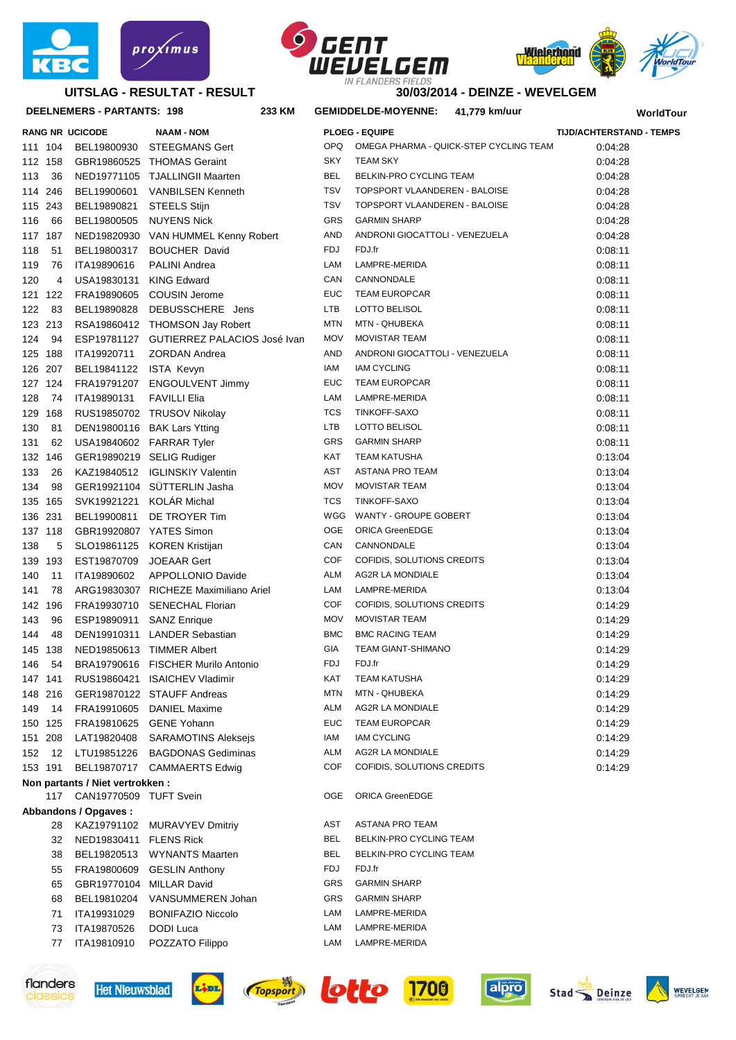

### **UITSLAG - RESULTAT - RESULT**





**30/03/2014 - DEINZE - WEVELGEM**

| DEELNEMERS - PARTANTS: 198 |         |                                  | 233 KM                                   | GEMIDDELDE-MOYENNE: 41,779 km/uur |                                |                                        | WorldTour                       |  |
|----------------------------|---------|----------------------------------|------------------------------------------|-----------------------------------|--------------------------------|----------------------------------------|---------------------------------|--|
|                            |         | <b>RANG NR UCICODE</b>           | <b>NAAM - NOM</b>                        |                                   | <b>PLOEG - EQUIPE</b>          |                                        | <b>TIJD/ACHTERSTAND - TEMPS</b> |  |
|                            | 111 104 |                                  | BEL19800930 STEEGMANS Gert               | OPQ                               |                                | OMEGA PHARMA - QUICK-STEP CYCLING TEAM | 0:04:28                         |  |
|                            | 112 158 |                                  | GBR19860525 THOMAS Geraint               | <b>SKY</b>                        | <b>TEAM SKY</b>                |                                        | 0.04.28                         |  |
| 113                        | 36      |                                  | NED19771105 TJALLINGII Maarten           | BEL                               | BELKIN-PRO CYCLING TEAM        |                                        | 0.04.28                         |  |
|                            | 114 246 | BEL19900601                      | <b>VANBILSEN Kenneth</b>                 | <b>TSV</b>                        | TOPSPORT VLAANDEREN - BALOISE  |                                        | 0:04:28                         |  |
|                            | 115 243 | BEL19890821                      | <b>STEELS Stijn</b>                      | <b>TSV</b>                        | TOPSPORT VLAANDEREN - BALOISE  |                                        | 0.04.28                         |  |
| 116                        | 66      | BEL19800505                      | <b>NUYENS Nick</b>                       | GRS                               | <b>GARMIN SHARP</b>            |                                        | 0.04.28                         |  |
|                            | 117 187 |                                  | NED19820930 VAN HUMMEL Kenny Robert      | AND                               | ANDRONI GIOCATTOLI - VENEZUELA |                                        | 0.04.28                         |  |
| 118                        | 51      | BEL19800317                      | <b>BOUCHER David</b>                     | FDJ                               | FDJ.fr                         |                                        | 0:08:11                         |  |
| 119                        | 76      | ITA19890616                      | <b>PALINI Andrea</b>                     | LAM                               | LAMPRE-MERIDA                  |                                        | 0:08:11                         |  |
| 120                        | 4       | USA19830131                      | KING Edward                              | CAN                               | CANNONDALE                     |                                        | 0:08:11                         |  |
|                            | 121 122 | FRA19890605                      | <b>COUSIN Jerome</b>                     | <b>EUC</b>                        | <b>TEAM EUROPCAR</b>           |                                        | 0:08:11                         |  |
| 122                        | 83      | BEL19890828                      | DEBUSSCHERE Jens                         | <b>LTB</b>                        | LOTTO BELISOL                  |                                        | 0:08:11                         |  |
|                            | 123 213 |                                  | RSA19860412 THOMSON Jay Robert           | <b>MTN</b>                        | MTN - QHUBEKA                  |                                        | 0.08:11                         |  |
| 124                        | 94      |                                  | ESP19781127 GUTIERREZ PALACIOS José Ivan | <b>MOV</b>                        | <b>MOVISTAR TEAM</b>           |                                        | 0:08:11                         |  |
|                            | 125 188 | ITA19920711                      | <b>ZORDAN Andrea</b>                     | AND                               | ANDRONI GIOCATTOLI - VENEZUELA |                                        | 0:08:11                         |  |
|                            | 126 207 | BEL19841122 ISTA Kevyn           |                                          | IAM                               | <b>IAM CYCLING</b>             |                                        | 0:08:11                         |  |
|                            | 127 124 |                                  | FRA19791207 ENGOULVENT Jimmy             | <b>EUC</b>                        | <b>TEAM EUROPCAR</b>           |                                        | 0:08:11                         |  |
| 128                        | 74      | ITA19890131                      | <b>FAVILLI Elia</b>                      | LAM                               | LAMPRE-MERIDA                  |                                        | 0:08:11                         |  |
|                            | 129 168 |                                  | RUS19850702 TRUSOV Nikolay               | TCS                               | TINKOFF-SAXO                   |                                        | 0.08:11                         |  |
| 130                        | 81      |                                  | DEN19800116 BAK Lars Ytting              | <b>LTB</b>                        | LOTTO BELISOL                  |                                        | 0:08:11                         |  |
| 131                        | 62      |                                  | USA19840602 FARRAR Tyler                 | GRS                               | <b>GARMIN SHARP</b>            |                                        | 0:08:11                         |  |
|                            | 132 146 |                                  | GER19890219 SELIG Rudiger                | KAT                               | <b>TEAM KATUSHA</b>            |                                        | 0:13:04                         |  |
| 133                        | 26      |                                  | KAZ19840512 IGLINSKIY Valentin           | AST                               | ASTANA PRO TEAM                |                                        | 0:13:04                         |  |
| 134                        | 98      |                                  | GER19921104 SÜTTERLIN Jasha              | <b>MOV</b>                        | <b>MOVISTAR TEAM</b>           |                                        | 0:13:04                         |  |
|                            | 135 165 | SVK19921221 KOLÁR Michal         |                                          | TCS                               | TINKOFF-SAXO                   |                                        | 0:13:04                         |  |
|                            | 136 231 | BEL19900811                      | DE TROYER Tim                            | WGG                               | WANTY - GROUPE GOBERT          |                                        | 0:13:04                         |  |
|                            | 137 118 | GBR19920807 YATES Simon          |                                          | <b>OGE</b>                        | <b>ORICA GreenEDGE</b>         |                                        | 0:13:04                         |  |
| 138                        | 5       |                                  | SLO19861125 KOREN Kristijan              | CAN                               | CANNONDALE                     |                                        | 0:13:04                         |  |
|                            | 139 193 | EST19870709                      | <b>JOEAAR Gert</b>                       | <b>COF</b>                        | COFIDIS, SOLUTIONS CREDITS     |                                        | 0:13:04                         |  |
| 140                        | 11      | ITA19890602                      | APPOLLONIO Davide                        | ALM                               | AG2R LA MONDIALE               |                                        | 0:13:04                         |  |
| 141                        | 78      |                                  | ARG19830307 RICHEZE Maximiliano Ariel    | LAM                               | LAMPRE-MERIDA                  |                                        | 0:13:04                         |  |
|                            | 142 196 |                                  | FRA19930710 SENECHAL Florian             | COF                               | COFIDIS, SOLUTIONS CREDITS     |                                        | 0:14:29                         |  |
| 143                        | 96      | ESP19890911 SANZ Enrique         |                                          | <b>MOV</b>                        | <b>MOVISTAR TEAM</b>           |                                        | 0:14:29                         |  |
| 144                        | 48      |                                  | DEN19910311 LANDER Sebastian             | <b>BMC</b>                        | <b>BMC RACING TEAM</b>         |                                        | 0:14:29                         |  |
|                            | 145 138 |                                  | NED19850613 TIMMER Albert                | GIA                               | <b>TEAM GIANT-SHIMANO</b>      |                                        | 0:14:29                         |  |
| 146                        | 54      |                                  | BRA19790616 FISCHER Murilo Antonio       | FDJ                               | FDJ.fr                         |                                        | 0:14:29                         |  |
|                            | 147 141 |                                  | RUS19860421 ISAICHEV Vladimir            | KAT                               | <b>TEAM KATUSHA</b>            |                                        | 0:14:29                         |  |
|                            | 148 216 |                                  | GER19870122 STAUFF Andreas               | <b>MTN</b>                        | MTN - QHUBEKA                  |                                        | 0:14:29                         |  |
| 149                        | - 14    |                                  | FRA19910605 DANIEL Maxime                | ALM                               | AG2R LA MONDIALE               |                                        | 0:14:29                         |  |
|                            | 150 125 |                                  | FRA19810625 GENE Yohann                  | EUC                               | <b>TEAM EUROPCAR</b>           |                                        | 0:14:29                         |  |
|                            | 151 208 | LAT19820408                      | <b>SARAMOTINS Aleksejs</b>               | IAM                               | <b>IAM CYCLING</b>             |                                        | 0:14:29                         |  |
|                            | 152 12  | LTU19851226                      | <b>BAGDONAS Gediminas</b>                | ALM                               | AG2R LA MONDIALE               |                                        | 0:14:29                         |  |
|                            | 153 191 |                                  | BEL19870717 CAMMAERTS Edwig              | COF                               | COFIDIS, SOLUTIONS CREDITS     |                                        | 0:14:29                         |  |
|                            |         | Non partants / Niet vertrokken : |                                          |                                   |                                |                                        |                                 |  |
|                            | 117     | CAN19770509 TUFT Svein           |                                          | <b>OGE</b>                        | <b>ORICA GreenEDGE</b>         |                                        |                                 |  |
|                            |         | Abbandons / Opgaves :            |                                          |                                   |                                |                                        |                                 |  |
|                            | 28      | KAZ19791102                      | <b>MURAVYEV Dmitriy</b>                  | AST                               | ASTANA PRO TEAM                |                                        |                                 |  |
|                            | 32      | NED19830411 FLENS Rick           |                                          | BEL.                              | BELKIN-PRO CYCLING TEAM        |                                        |                                 |  |
|                            | 38      | BEL19820513                      | WYNANTS Maarten                          | BEL                               | BELKIN-PRO CYCLING TEAM        |                                        |                                 |  |
|                            | 55      | FRA19800609                      | <b>GESLIN Anthony</b>                    | FDJ                               | FDJ.fr                         |                                        |                                 |  |
|                            | 65      | GBR19770104 MILLAR David         |                                          | GRS                               | <b>GARMIN SHARP</b>            |                                        |                                 |  |
|                            | 68      | BEL19810204                      | VANSUMMEREN Johan                        | GRS                               | <b>GARMIN SHARP</b>            |                                        |                                 |  |
|                            | 71      | ITA19931029                      | <b>BONIFAZIO Niccolo</b>                 | LAM                               | LAMPRE-MERIDA                  |                                        |                                 |  |
|                            | 73      | ITA19870526                      | DODI Luca                                | LAM                               | LAMPRE-MERIDA                  |                                        |                                 |  |



classics





ITA19810910 POZZATO Filippo LAM LAMPRE-MERIDA